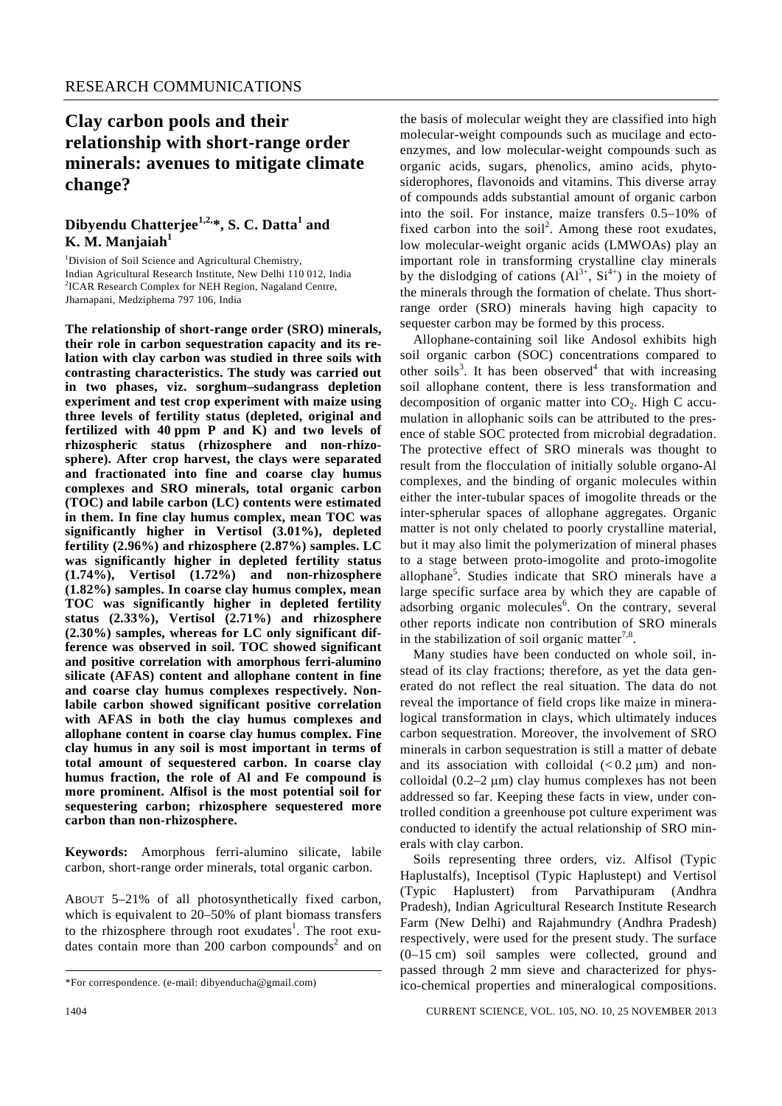# **Clay carbon pools and their relationship with short-range order minerals: avenues to mitigate climate change?**

### **Dibyendu Chatterjee1,2,\*, S. C. Datta1 and K. M. Manjaiah<sup>1</sup>**

<sup>1</sup>Division of Soil Science and Agricultural Chemistry, Indian Agricultural Research Institute, New Delhi 110 012, India <sup>2</sup>ICAR Research Complex for NEH Region, Nagaland Centre, Jharnapani, Medziphema 797 106, India

**The relationship of short-range order (SRO) minerals, their role in carbon sequestration capacity and its relation with clay carbon was studied in three soils with contrasting characteristics. The study was carried out in two phases, viz. sorghum–sudangrass depletion experiment and test crop experiment with maize using three levels of fertility status (depleted, original and fertilized with 40 ppm P and K) and two levels of rhizospheric status (rhizosphere and non-rhizosphere). After crop harvest, the clays were separated and fractionated into fine and coarse clay humus complexes and SRO minerals, total organic carbon (TOC) and labile carbon (LC) contents were estimated in them. In fine clay humus complex, mean TOC was significantly higher in Vertisol (3.01%), depleted fertility (2.96%) and rhizosphere (2.87%) samples. LC was significantly higher in depleted fertility status (1.74%), Vertisol (1.72%) and non-rhizosphere (1.82%) samples. In coarse clay humus complex, mean TOC was significantly higher in depleted fertility status (2.33%), Vertisol (2.71%) and rhizosphere (2.30%) samples, whereas for LC only significant difference was observed in soil. TOC showed significant and positive correlation with amorphous ferri-alumino silicate (AFAS) content and allophane content in fine and coarse clay humus complexes respectively. Nonlabile carbon showed significant positive correlation with AFAS in both the clay humus complexes and allophane content in coarse clay humus complex. Fine clay humus in any soil is most important in terms of total amount of sequestered carbon. In coarse clay humus fraction, the role of Al and Fe compound is more prominent. Alfisol is the most potential soil for sequestering carbon; rhizosphere sequestered more carbon than non-rhizosphere.** 

**Keywords:** Amorphous ferri-alumino silicate, labile carbon, short-range order minerals, total organic carbon.

ABOUT 5–21% of all photosynthetically fixed carbon, which is equivalent to 20–50% of plant biomass transfers to the rhizosphere through root exudates<sup>1</sup>. The root exudates contain more than  $200$  carbon compounds<sup>2</sup> and on the basis of molecular weight they are classified into high molecular-weight compounds such as mucilage and ectoenzymes, and low molecular-weight compounds such as organic acids, sugars, phenolics, amino acids, phytosiderophores, flavonoids and vitamins. This diverse array of compounds adds substantial amount of organic carbon into the soil. For instance, maize transfers 0.5–10% of fixed carbon into the soil<sup>2</sup>. Among these root exudates, low molecular-weight organic acids (LMWOAs) play an important role in transforming crystalline clay minerals by the dislodging of cations  $(AI^{3+}, SI^{4+})$  in the moiety of the minerals through the formation of chelate. Thus shortrange order (SRO) minerals having high capacity to sequester carbon may be formed by this process.

 Allophane-containing soil like Andosol exhibits high soil organic carbon (SOC) concentrations compared to other soils<sup>3</sup>. It has been observed<sup>4</sup> that with increasing soil allophane content, there is less transformation and decomposition of organic matter into  $CO<sub>2</sub>$ . High C accumulation in allophanic soils can be attributed to the presence of stable SOC protected from microbial degradation. The protective effect of SRO minerals was thought to result from the flocculation of initially soluble organo-Al complexes, and the binding of organic molecules within either the inter-tubular spaces of imogolite threads or the inter-spherular spaces of allophane aggregates. Organic matter is not only chelated to poorly crystalline material, but it may also limit the polymerization of mineral phases to a stage between proto-imogolite and proto-imogolite allophane<sup>5</sup>. Studies indicate that SRO minerals have a large specific surface area by which they are capable of adsorbing organic molecules<sup>6</sup>. On the contrary, several other reports indicate non contribution of SRO minerals in the stabilization of soil organic matter<sup>7,8</sup>.

 Many studies have been conducted on whole soil, instead of its clay fractions; therefore, as yet the data generated do not reflect the real situation. The data do not reveal the importance of field crops like maize in mineralogical transformation in clays, which ultimately induces carbon sequestration. Moreover, the involvement of SRO minerals in carbon sequestration is still a matter of debate and its association with colloidal  $(< 0.2 \mu m$ ) and noncolloidal  $(0.2-2 \mu m)$  clay humus complexes has not been addressed so far. Keeping these facts in view, under controlled condition a greenhouse pot culture experiment was conducted to identify the actual relationship of SRO minerals with clay carbon.

 Soils representing three orders, viz. Alfisol (Typic Haplustalfs), Inceptisol (Typic Haplustept) and Vertisol (Typic Haplustert) from Parvathipuram (Andhra Pradesh), Indian Agricultural Research Institute Research Farm (New Delhi) and Rajahmundry (Andhra Pradesh) respectively, were used for the present study. The surface (0–15 cm) soil samples were collected, ground and passed through 2 mm sieve and characterized for physico-chemical properties and mineralogical compositions.

<sup>\*</sup>For correspondence. (e-mail: dibyenducha@gmail.com)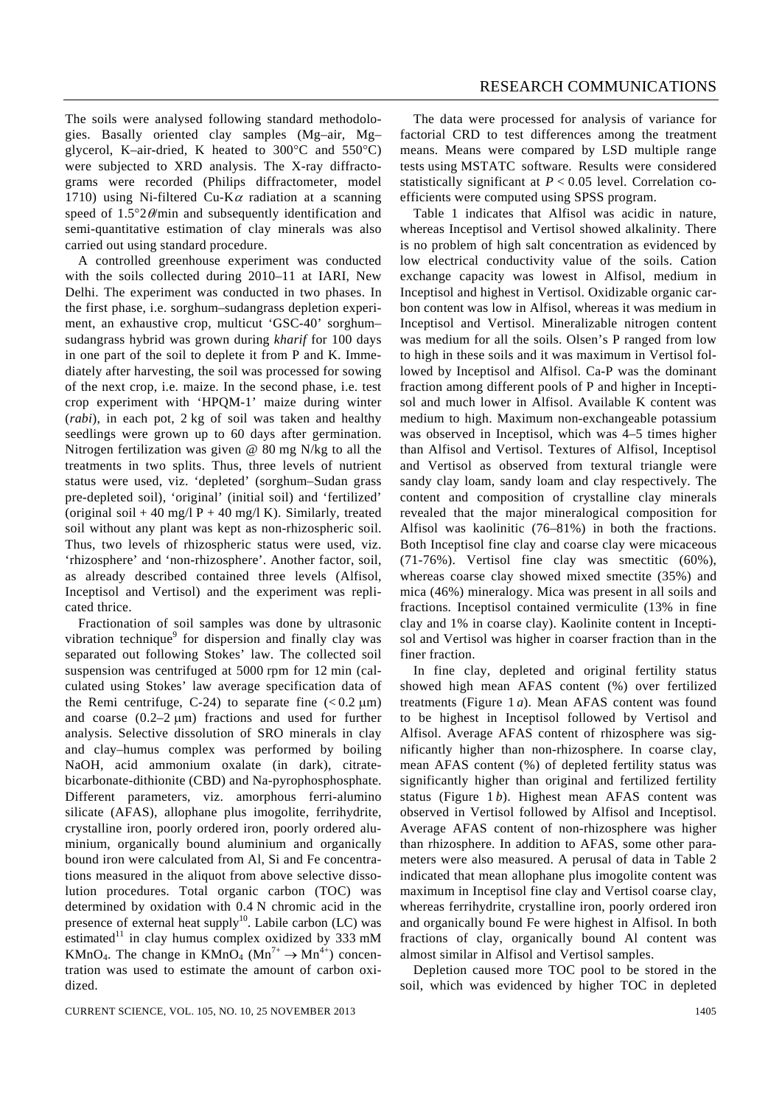The soils were analysed following standard methodologies. Basally oriented clay samples (Mg–air, Mg– glycerol, K–air-dried, K heated to 300°C and 550°C) were subjected to XRD analysis. The X-ray diffractograms were recorded (Philips diffractometer, model 1710) using Ni-filtered Cu-K $\alpha$  radiation at a scanning speed of  $1.5^{\circ}2\theta$ /min and subsequently identification and semi-quantitative estimation of clay minerals was also carried out using standard procedure.

 A controlled greenhouse experiment was conducted with the soils collected during 2010–11 at IARI, New Delhi. The experiment was conducted in two phases. In the first phase, i.e. sorghum–sudangrass depletion experiment, an exhaustive crop, multicut 'GSC-40' sorghum– sudangrass hybrid was grown during *kharif* for 100 days in one part of the soil to deplete it from P and K. Immediately after harvesting, the soil was processed for sowing of the next crop, i.e. maize. In the second phase, i.e. test crop experiment with 'HPQM-1' maize during winter (*rabi*), in each pot, 2 kg of soil was taken and healthy seedlings were grown up to 60 days after germination. Nitrogen fertilization was given @ 80 mg N/kg to all the treatments in two splits. Thus, three levels of nutrient status were used, viz. 'depleted' (sorghum–Sudan grass pre-depleted soil), 'original' (initial soil) and 'fertilized' (original soil + 40 mg/l P + 40 mg/l K). Similarly, treated soil without any plant was kept as non-rhizospheric soil. Thus, two levels of rhizospheric status were used, viz. 'rhizosphere' and 'non-rhizosphere'. Another factor, soil, as already described contained three levels (Alfisol, Inceptisol and Vertisol) and the experiment was replicated thrice.

 Fractionation of soil samples was done by ultrasonic vibration technique<sup>9</sup> for dispersion and finally clay was separated out following Stokes' law. The collected soil suspension was centrifuged at 5000 rpm for 12 min (calculated using Stokes' law average specification data of the Remi centrifuge, C-24) to separate fine  $(< 0.2 \mu m)$ and coarse  $(0.2-2 \mu m)$  fractions and used for further analysis. Selective dissolution of SRO minerals in clay and clay–humus complex was performed by boiling NaOH, acid ammonium oxalate (in dark), citratebicarbonate-dithionite (CBD) and Na-pyrophosphosphate. Different parameters, viz. amorphous ferri-alumino silicate (AFAS), allophane plus imogolite, ferrihydrite, crystalline iron, poorly ordered iron, poorly ordered aluminium, organically bound aluminium and organically bound iron were calculated from Al, Si and Fe concentrations measured in the aliquot from above selective dissolution procedures. Total organic carbon (TOC) was determined by oxidation with 0.4 N chromic acid in the presence of external heat supply<sup>10</sup>. Labile carbon (LC) was estimated<sup>11</sup> in clay humus complex oxidized by 333 mM KMnO<sub>4</sub>. The change in KMnO<sub>4</sub> (Mn<sup>7+</sup>  $\rightarrow$  Mn<sup>4+</sup>) concentration was used to estimate the amount of carbon oxidized.

 The data were processed for analysis of variance for factorial CRD to test differences among the treatment means. Means were compared by LSD multiple range tests using MSTATC software. Results were considered statistically significant at *P* < 0.05 level. Correlation coefficients were computed using SPSS program.

 Table 1 indicates that Alfisol was acidic in nature, whereas Inceptisol and Vertisol showed alkalinity. There is no problem of high salt concentration as evidenced by low electrical conductivity value of the soils. Cation exchange capacity was lowest in Alfisol, medium in Inceptisol and highest in Vertisol. Oxidizable organic carbon content was low in Alfisol, whereas it was medium in Inceptisol and Vertisol. Mineralizable nitrogen content was medium for all the soils. Olsen's P ranged from low to high in these soils and it was maximum in Vertisol followed by Inceptisol and Alfisol. Ca-P was the dominant fraction among different pools of P and higher in Inceptisol and much lower in Alfisol. Available K content was medium to high. Maximum non-exchangeable potassium was observed in Inceptisol, which was 4–5 times higher than Alfisol and Vertisol. Textures of Alfisol, Inceptisol and Vertisol as observed from textural triangle were sandy clay loam, sandy loam and clay respectively. The content and composition of crystalline clay minerals revealed that the major mineralogical composition for Alfisol was kaolinitic (76–81%) in both the fractions. Both Inceptisol fine clay and coarse clay were micaceous (71-76%). Vertisol fine clay was smectitic (60%), whereas coarse clay showed mixed smectite (35%) and mica (46%) mineralogy. Mica was present in all soils and fractions. Inceptisol contained vermiculite (13% in fine clay and 1% in coarse clay). Kaolinite content in Inceptisol and Vertisol was higher in coarser fraction than in the finer fraction.

 In fine clay, depleted and original fertility status showed high mean AFAS content (%) over fertilized treatments (Figure 1 *a*). Mean AFAS content was found to be highest in Inceptisol followed by Vertisol and Alfisol. Average AFAS content of rhizosphere was significantly higher than non-rhizosphere. In coarse clay, mean AFAS content (%) of depleted fertility status was significantly higher than original and fertilized fertility status (Figure 1 *b*). Highest mean AFAS content was observed in Vertisol followed by Alfisol and Inceptisol. Average AFAS content of non-rhizosphere was higher than rhizosphere. In addition to AFAS, some other parameters were also measured. A perusal of data in Table 2 indicated that mean allophane plus imogolite content was maximum in Inceptisol fine clay and Vertisol coarse clay, whereas ferrihydrite, crystalline iron, poorly ordered iron and organically bound Fe were highest in Alfisol. In both fractions of clay, organically bound Al content was almost similar in Alfisol and Vertisol samples.

 Depletion caused more TOC pool to be stored in the soil, which was evidenced by higher TOC in depleted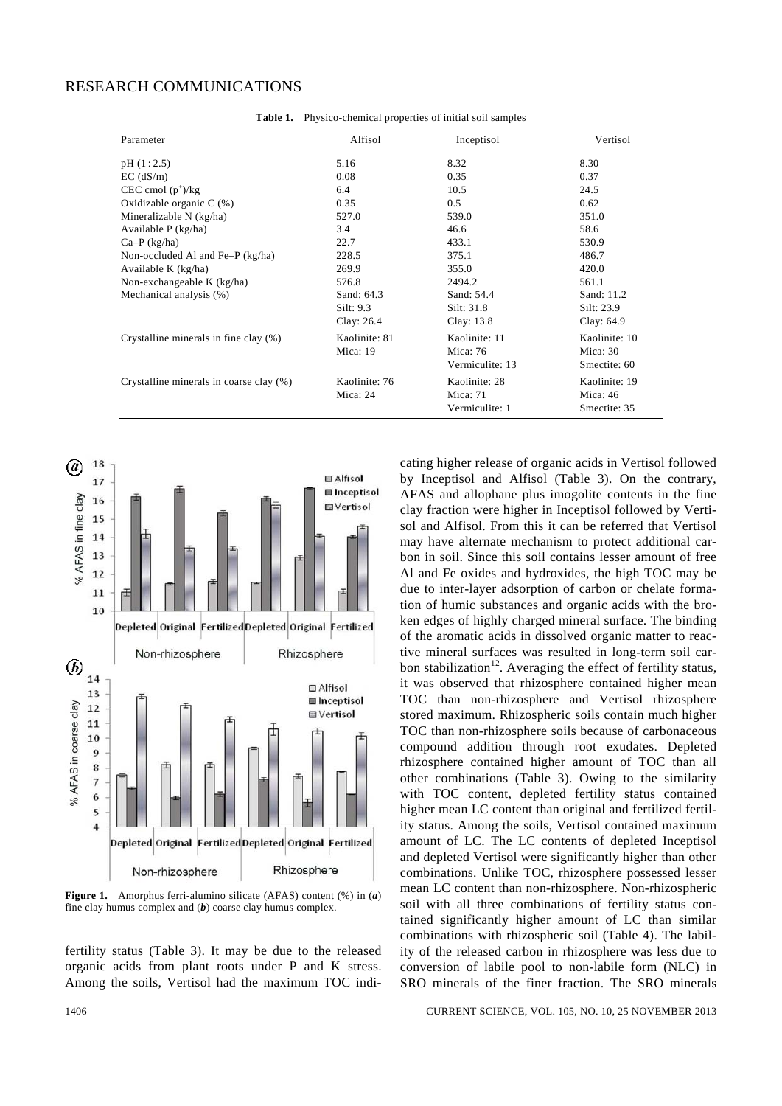| Parameter                               | Alfisol       | Inceptisol      | Vertisol      |
|-----------------------------------------|---------------|-----------------|---------------|
| pH(1:2.5)                               | 5.16          | 8.32            | 8.30          |
| $EC$ (dS/m)                             | 0.08          | 0.35            | 0.37          |
| CEC cmol $(p^+)/kg$                     | 6.4           | 10.5            | 24.5          |
| Oxidizable organic $C(\%)$              | 0.35          | 0.5             | 0.62          |
| Mineralizable N (kg/ha)                 | 527.0         | 539.0           | 351.0         |
| Available P (kg/ha)                     | 3.4           | 46.6            | 58.6          |
| $Ca-P$ (kg/ha)                          | 22.7          | 433.1           | 530.9         |
| Non-occluded Al and Fe $-P$ (kg/ha)     | 228.5         | 375.1           | 486.7         |
| Available K (kg/ha)                     | 269.9         | 355.0           | 420.0         |
| Non-exchangeable K (kg/ha)              | 576.8         | 2494.2          | 561.1         |
| Mechanical analysis (%)                 | Sand: 64.3    | Sand: 54.4      | Sand: 11.2    |
|                                         | Silt: 9.3     | Silt: 31.8      | Silt: 23.9    |
|                                         | Clay: 26.4    | Clay: 13.8      | Clay: 64.9    |
| Crystalline minerals in fine clay (%)   | Kaolinite: 81 | Kaolinite: 11   | Kaolinite: 10 |
|                                         | Mica: 19      | Mica: 76        | Mica: 30      |
|                                         |               | Vermiculite: 13 | Smectite: 60  |
| Crystalline minerals in coarse clay (%) | Kaolinite: 76 | Kaolinite: 28   | Kaolinite: 19 |
|                                         | Mica: 24      | Mica: 71        | Mica: 46      |
|                                         |               | Vermiculite: 1  | Smectite: 35  |



**Figure 1.** Amorphus ferri-alumino silicate (AFAS) content (%) in (*a*) fine clay humus complex and (*b*) coarse clay humus complex.

fertility status (Table 3). It may be due to the released organic acids from plant roots under P and K stress. Among the soils, Vertisol had the maximum TOC indicating higher release of organic acids in Vertisol followed by Inceptisol and Alfisol (Table 3). On the contrary, AFAS and allophane plus imogolite contents in the fine clay fraction were higher in Inceptisol followed by Vertisol and Alfisol. From this it can be referred that Vertisol may have alternate mechanism to protect additional carbon in soil. Since this soil contains lesser amount of free Al and Fe oxides and hydroxides, the high TOC may be due to inter-layer adsorption of carbon or chelate formation of humic substances and organic acids with the broken edges of highly charged mineral surface. The binding of the aromatic acids in dissolved organic matter to reactive mineral surfaces was resulted in long-term soil carbon stabilization<sup>12</sup>. Averaging the effect of fertility status, it was observed that rhizosphere contained higher mean TOC than non-rhizosphere and Vertisol rhizosphere stored maximum. Rhizospheric soils contain much higher TOC than non-rhizosphere soils because of carbonaceous compound addition through root exudates. Depleted rhizosphere contained higher amount of TOC than all other combinations (Table 3). Owing to the similarity with TOC content, depleted fertility status contained higher mean LC content than original and fertilized fertility status. Among the soils, Vertisol contained maximum amount of LC. The LC contents of depleted Inceptisol and depleted Vertisol were significantly higher than other combinations. Unlike TOC, rhizosphere possessed lesser mean LC content than non-rhizosphere. Non-rhizospheric soil with all three combinations of fertility status contained significantly higher amount of LC than similar combinations with rhizospheric soil (Table 4). The lability of the released carbon in rhizosphere was less due to conversion of labile pool to non-labile form (NLC) in SRO minerals of the finer fraction. The SRO minerals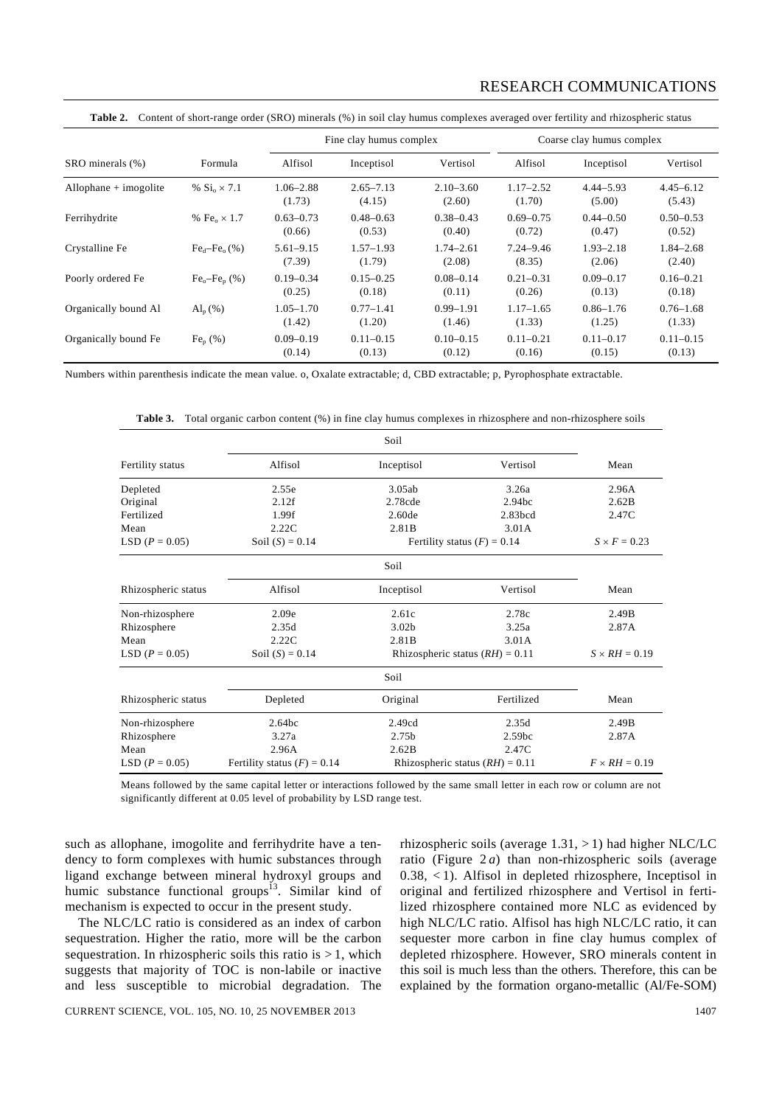|  | Table 2. Content of short-range order (SRO) minerals (%) in soil clay humus complexes averaged over fertility and rhizospheric status |  |  |  |  |  |
|--|---------------------------------------------------------------------------------------------------------------------------------------|--|--|--|--|--|
|--|---------------------------------------------------------------------------------------------------------------------------------------|--|--|--|--|--|

|                         |                                           | Fine clay humus complex |                         |                         | Coarse clay humus complex |                         |                         |
|-------------------------|-------------------------------------------|-------------------------|-------------------------|-------------------------|---------------------------|-------------------------|-------------------------|
| SRO minerals (%)        | Formula                                   | Alfisol                 | Inceptisol              | Vertisol                | Alfisol                   | Inceptisol              | Vertisol                |
| $Allophane + imogolite$ | % $\rm{Si}_{o} \times 7.1$                | $1.06 - 2.88$<br>(1.73) | $2.65 - 7.13$<br>(4.15) | $2.10 - 3.60$<br>(2.60) | $1.17 - 2.52$<br>(1.70)   | $4.44 - 5.93$<br>(5.00) | $4.45 - 6.12$<br>(5.43) |
| Ferrihydrite            | % Fe <sub><math>2 \times 1.7</math></sub> | $0.63 - 0.73$<br>(0.66) | $0.48 - 0.63$<br>(0.53) | $0.38 - 0.43$<br>(0.40) | $0.69 - 0.75$<br>(0.72)   | $0.44 - 0.50$<br>(0.47) | $0.50 - 0.53$<br>(0.52) |
| Crystalline Fe          | $Fed-Feo(%)$                              | $5.61 - 9.15$<br>(7.39) | $1.57 - 1.93$<br>(1.79) | $1.74 - 2.61$<br>(2.08) | $7.24 - 9.46$<br>(8.35)   | $1.93 - 2.18$<br>(2.06) | $1.84 - 2.68$<br>(2.40) |
| Poorly ordered Fe       | $Feo-Fen(%)$                              | $0.19 - 0.34$<br>(0.25) | $0.15 - 0.25$<br>(0.18) | $0.08 - 0.14$<br>(0.11) | $0.21 - 0.31$<br>(0.26)   | $0.09 - 0.17$<br>(0.13) | $0.16 - 0.21$<br>(0.18) |
| Organically bound Al    | $\mathrm{Al}_{p}(\% )$                    | $1.05 - 1.70$<br>(1.42) | $0.77 - 1.41$<br>(1.20) | $0.99 - 1.91$<br>(1.46) | $1.17 - 1.65$<br>(1.33)   | $0.86 - 1.76$<br>(1.25) | $0.76 - 1.68$<br>(1.33) |
| Organically bound Fe    | $Fep(\%)$                                 | $0.09 - 0.19$<br>(0.14) | $0.11 - 0.15$<br>(0.13) | $0.10 - 0.15$<br>(0.12) | $0.11 - 0.21$<br>(0.16)   | $0.11 - 0.17$<br>(0.15) | $0.11 - 0.15$<br>(0.13) |

Numbers within parenthesis indicate the mean value. o, Oxalate extractable; d, CBD extractable; p, Pyrophosphate extractable.

**Table 3.** Total organic carbon content (%) in fine clay humus complexes in rhizosphere and non-rhizosphere soils

|                     |                               | Soil                              |                               |                      |
|---------------------|-------------------------------|-----------------------------------|-------------------------------|----------------------|
| Fertility status    | Alfisol                       | Inceptisol                        | Vertisol                      | Mean                 |
| Depleted            | 2.55e                         | 3.05ab                            | 3.26a                         | 2.96A                |
| Original            | 2.12f                         | 2.78cde                           | 2.94 <sub>bc</sub>            | 2.62B                |
| Fertilized          | 1.99f                         | 2.60de<br>2.83bcd                 |                               | 2.47C                |
| Mean                | 2.22C                         | 2.81B                             | 3.01A                         |                      |
| LSD $(P = 0.05)$    | Soil $(S) = 0.14$             |                                   | Fertility status $(F) = 0.14$ | $S \times F = 0.23$  |
|                     |                               | Soil                              |                               |                      |
| Rhizospheric status | Alfisol                       | Inceptisol                        | Vertisol                      | Mean                 |
| Non-rhizosphere     | 2.09e                         | 2.61c                             | 2.78c                         | 2.49B                |
| Rhizosphere         | 2.35d                         | 3.02 <sub>b</sub>                 | 3.25a                         | 2.87A                |
| Mean                | 2.22C                         | 2.81B                             | 3.01A                         |                      |
| LSD $(P = 0.05)$    | Soil $(S) = 0.14$             | Rhizospheric status $(RH) = 0.11$ |                               | $S \times RH = 0.19$ |
|                     |                               | Soil                              |                               |                      |
| Rhizospheric status | Depleted                      | Original                          | Fertilized                    | Mean                 |
| Non-rhizosphere     | 2.64bc                        | 2.49cd                            | 2.35d                         | 2.49B                |
| Rhizosphere         | 3.27a                         | 2.75b                             | 2.59 <sub>bc</sub>            | 2.87A                |
| Mean                | 2.96A                         | 2.62B                             | 2.47C                         |                      |
| LSD $(P = 0.05)$    | Fertility status $(F) = 0.14$ | Rhizospheric status $(RH) = 0.11$ |                               | $F \times RH = 0.19$ |

Means followed by the same capital letter or interactions followed by the same small letter in each row or column are not significantly different at 0.05 level of probability by LSD range test.

such as allophane, imogolite and ferrihydrite have a tendency to form complexes with humic substances through ligand exchange between mineral hydroxyl groups and humic substance functional groups<sup>13</sup>. Similar kind of mechanism is expected to occur in the present study.

 The NLC/LC ratio is considered as an index of carbon sequestration. Higher the ratio, more will be the carbon sequestration. In rhizospheric soils this ratio is  $> 1$ , which suggests that majority of TOC is non-labile or inactive and less susceptible to microbial degradation. The rhizospheric soils (average  $1.31$ ,  $> 1$ ) had higher NLC/LC ratio (Figure 2 *a*) than non-rhizospheric soils (average 0.38, < 1). Alfisol in depleted rhizosphere, Inceptisol in original and fertilized rhizosphere and Vertisol in fertilized rhizosphere contained more NLC as evidenced by high NLC/LC ratio. Alfisol has high NLC/LC ratio, it can sequester more carbon in fine clay humus complex of depleted rhizosphere. However, SRO minerals content in this soil is much less than the others. Therefore, this can be explained by the formation organo-metallic (Al/Fe-SOM)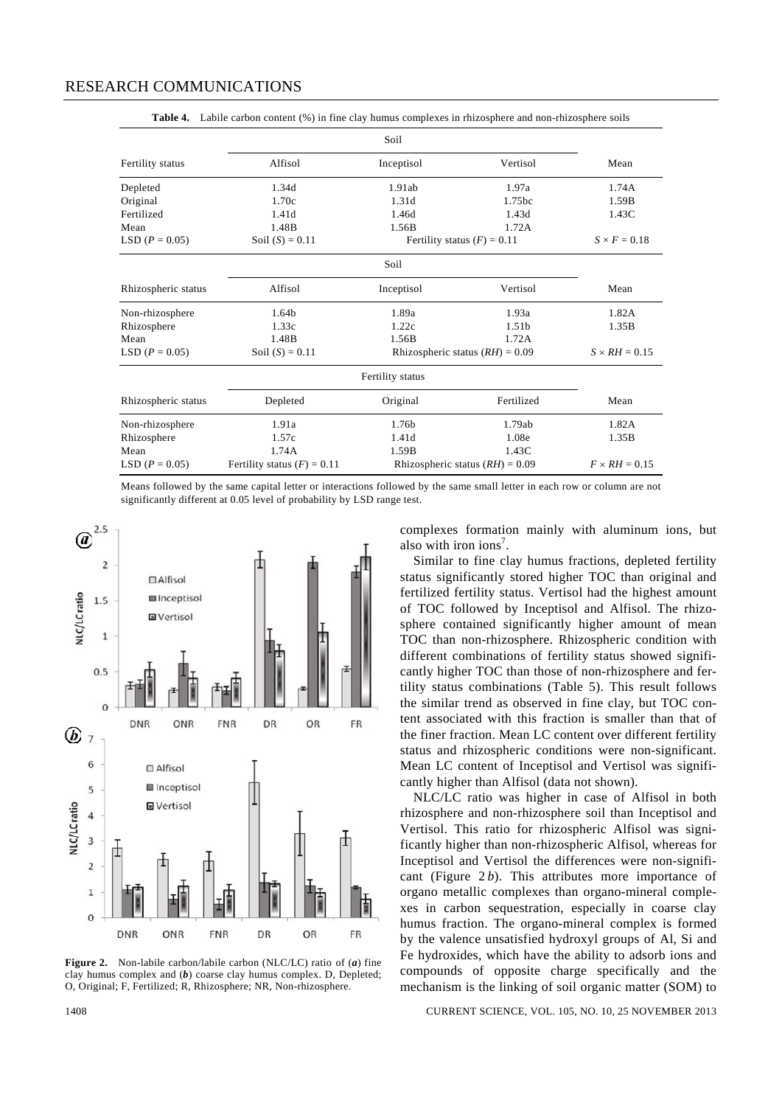|                     |                               | Soil                              |                   |                      |
|---------------------|-------------------------------|-----------------------------------|-------------------|----------------------|
| Fertility status    | Alfisol                       | Inceptisol                        | Vertisol          | Mean                 |
| Depleted            | 1.34d                         | 1.91ab                            | 1.97a             | 1.74A                |
| Original            | 1.70c                         | 1.31d                             | 1.75bc            | 1.59B                |
| Fertilized          | 1.41d                         | 1.46d                             | 1.43d             | 1.43C                |
| Mean                | 1.48B                         | 1.56B                             | 1.72A             |                      |
| LSD $(P = 0.05)$    | Soil $(S) = 0.11$             | Fertility status $(F) = 0.11$     |                   | $S \times F = 0.18$  |
|                     |                               | Soil                              |                   |                      |
| Rhizospheric status | Alfisol                       | Inceptisol                        | Vertisol          | Mean                 |
| Non-rhizosphere     | 1.64b                         | 1.89a                             | 1.93a             | 1.82A                |
| Rhizosphere         | 1.33c                         | 1.22c                             | 1.51 <sub>b</sub> | 1.35B                |
| Mean                | 1.48B                         | 1.56B                             | 1.72A             |                      |
| LSD $(P = 0.05)$    | Soil $(S) = 0.11$             | Rhizospheric status $(RH) = 0.09$ |                   | $S \times RH = 0.15$ |
|                     |                               | Fertility status                  |                   |                      |
| Rhizospheric status | Depleted                      | Original                          | Fertilized        | Mean                 |
| Non-rhizosphere     | 1.91a                         | 1.76 <sub>b</sub>                 | 1.79ab            | 1.82A                |
| Rhizosphere         | 1.57c                         | 1.41d                             | 1.08e             | 1.35B                |
| Mean                | 1.74A                         | 1.59B                             | 1.43C             |                      |
| LSD $(P = 0.05)$    | Fertility status $(F) = 0.11$ | Rhizospheric status $(RH) = 0.09$ |                   | $F \times RH = 0.15$ |

Table 4. Labile carbon content (%) in fine clay humus complexes in rhizosphere and non-rhizosphere soils

Means followed by the same capital letter or interactions followed by the same small letter in each row or column are not significantly different at 0.05 level of probability by LSD range test.



**Figure 2.** Non-labile carbon/labile carbon (NLC/LC) ratio of (*a*) fine clay humus complex and (*b*) coarse clay humus complex. D, Depleted; O, Original; F, Fertilized; R, Rhizosphere; NR, Non-rhizosphere.

complexes formation mainly with aluminum ions, but also with iron ions<sup>7</sup>.

 Similar to fine clay humus fractions, depleted fertility status significantly stored higher TOC than original and fertilized fertility status. Vertisol had the highest amount of TOC followed by Inceptisol and Alfisol. The rhizosphere contained significantly higher amount of mean TOC than non-rhizosphere. Rhizospheric condition with different combinations of fertility status showed significantly higher TOC than those of non-rhizosphere and fertility status combinations (Table 5). This result follows the similar trend as observed in fine clay, but TOC content associated with this fraction is smaller than that of the finer fraction. Mean LC content over different fertility status and rhizospheric conditions were non-significant. Mean LC content of Inceptisol and Vertisol was significantly higher than Alfisol (data not shown).

 NLC/LC ratio was higher in case of Alfisol in both rhizosphere and non-rhizosphere soil than Inceptisol and Vertisol. This ratio for rhizospheric Alfisol was significantly higher than non-rhizospheric Alfisol, whereas for Inceptisol and Vertisol the differences were non-significant (Figure 2 *b*). This attributes more importance of organo metallic complexes than organo-mineral complexes in carbon sequestration, especially in coarse clay humus fraction. The organo-mineral complex is formed by the valence unsatisfied hydroxyl groups of Al, Si and Fe hydroxides, which have the ability to adsorb ions and compounds of opposite charge specifically and the mechanism is the linking of soil organic matter (SOM) to

1408 CURRENT SCIENCE, VOL. 105, NO. 10, 25 NOVEMBER 2013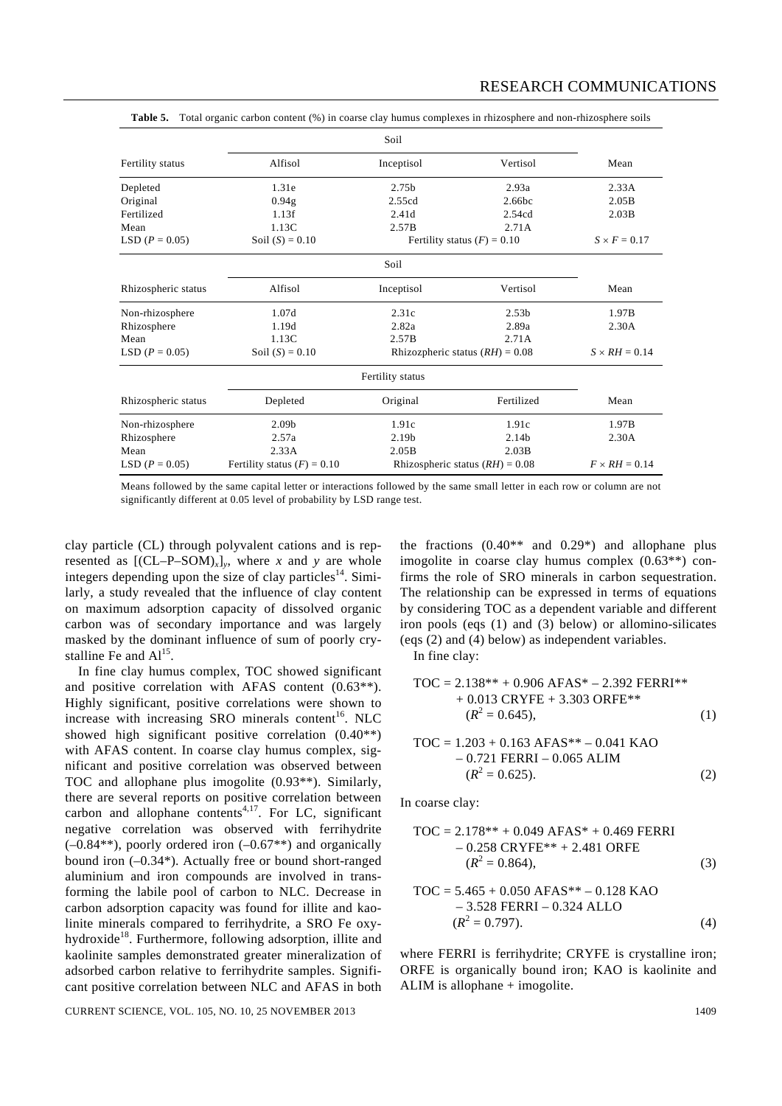|                     |                                                                    | Soil                              |                      |                      |
|---------------------|--------------------------------------------------------------------|-----------------------------------|----------------------|----------------------|
| Fertility status    | Alfisol                                                            | Inceptisol                        | Vertisol             | Mean                 |
| Depleted            | 1.31e                                                              | 2.75b                             | 2.93a                | 2.33A                |
| Original            | 0.94 <sub>g</sub>                                                  | 2.55cd                            | 2.66bc               | 2.05B                |
| Fertilized          | 1.13f                                                              | 2.41d                             | 2.54cd               | 2.03B                |
| Mean                | 1.13C                                                              | 2.57B                             | 2.71A                |                      |
| LSD $(P = 0.05)$    | Soil $(S) = 0.10$<br>Fertility status $(F) = 0.10$                 |                                   |                      |                      |
|                     |                                                                    | Soil                              |                      |                      |
| Rhizospheric status | Alfisol                                                            | Inceptisol                        | Vertisol             | Mean                 |
| Non-rhizosphere     | 1.07d                                                              | 2.31c                             | 2.53 <sub>b</sub>    | 1.97B                |
| Rhizosphere         | 1.19d                                                              | 2.82a                             | 2.89a                | 2.30A                |
| Mean                | 1.13C                                                              | 2.57B                             | 2.71A                |                      |
| LSD $(P = 0.05)$    | Soil $(S) = 0.10$                                                  | Rhizozpheric status $(RH) = 0.08$ |                      | $S \times RH = 0.14$ |
|                     |                                                                    | Fertility status                  |                      |                      |
| Rhizospheric status | Depleted                                                           | Original                          | Fertilized           | Mean                 |
| Non-rhizosphere     | 2.09 <sub>b</sub>                                                  | 1.91c                             | 1.91c                | 1.97B                |
| Rhizosphere         | 2.57a                                                              | 2.19 <sub>b</sub>                 | 2.14b                | 2.30A                |
| Mean                | 2.33A                                                              | 2.05B                             | 2.03B                |                      |
| LSD $(P = 0.05)$    | Fertility status $(F) = 0.10$<br>Rhizospheric status $(RH) = 0.08$ |                                   | $F \times RH = 0.14$ |                      |

**Table 5.** Total organic carbon content (%) in coarse clay humus complexes in rhizosphere and non-rhizosphere soils

Means followed by the same capital letter or interactions followed by the same small letter in each row or column are not significantly different at 0.05 level of probability by LSD range test.

clay particle (CL) through polyvalent cations and is represented as  $[(CL-P-SOM)_x]_y$ , where *x* and *y* are whole integers depending upon the size of clay particles<sup>14</sup>. Similarly, a study revealed that the influence of clay content on maximum adsorption capacity of dissolved organic carbon was of secondary importance and was largely masked by the dominant influence of sum of poorly crystalline Fe and  $Al<sup>15</sup>$ .

 In fine clay humus complex, TOC showed significant and positive correlation with AFAS content (0.63\*\*). Highly significant, positive correlations were shown to increase with increasing SRO minerals content<sup>16</sup>. NLC showed high significant positive correlation (0.40\*\*) with AFAS content. In coarse clay humus complex, significant and positive correlation was observed between TOC and allophane plus imogolite (0.93\*\*). Similarly, there are several reports on positive correlation between carbon and allophane contents<sup>4,17</sup>. For LC, significant negative correlation was observed with ferrihydrite  $(-0.84**)$ , poorly ordered iron  $(-0.67**)$  and organically bound iron (–0.34\*). Actually free or bound short-ranged aluminium and iron compounds are involved in transforming the labile pool of carbon to NLC. Decrease in carbon adsorption capacity was found for illite and kaolinite minerals compared to ferrihydrite, a SRO Fe oxyhydroxide<sup>18</sup>. Furthermore, following adsorption, illite and kaolinite samples demonstrated greater mineralization of adsorbed carbon relative to ferrihydrite samples. Significant positive correlation between NLC and AFAS in both

(eqs (2) and (4) below) as independent variables. In fine clay:  $TOC = 2.138** + 0.906$  AFAS\* – 2.392 FERRI\*\* + 0.013 CRYFE + 3.303 ORFE\*\*  $(R^2 = 0.645),$  (1)  $TOC - 1.203 + 0.163 AFAS^{**} = 0.041 KAO$ 

$$
-0.721 \text{ FERRI} - 0.065 \text{ ALIM}
$$
  
( $R^2 = 0.625$ ). (2)

the fractions  $(0.40**$  and  $0.29*)$  and allophane plus imogolite in coarse clay humus complex (0.63\*\*) confirms the role of SRO minerals in carbon sequestration. The relationship can be expressed in terms of equations by considering TOC as a dependent variable and different iron pools (eqs (1) and (3) below) or allomino-silicates

In coarse clay:

$$
TOC = 2.178** + 0.049 AFAS* + 0.469 FERRI- 0.258 CRYFE** + 2.481 ORFE( $R^2$  = 0.864), (3)
$$

$$
TOC = 5.465 + 0.050 \text{ AFAS}^{**} - 0.128 \text{ KAO} - 3.528 \text{ FERRI} - 0.324 \text{ ALLO} (R2 = 0.797).
$$
 (4)

where FERRI is ferrihydrite; CRYFE is crystalline iron; ORFE is organically bound iron; KAO is kaolinite and ALIM is allophane + imogolite.